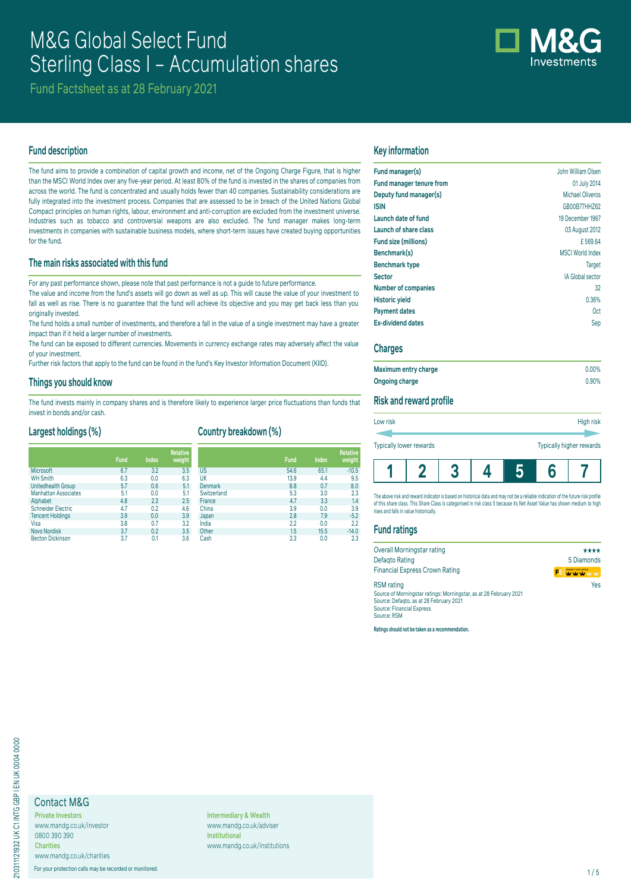# M&G Global Select Fund Sterling Class I – Accumulation shares



Fund Factsheet as at 28 February 2021

# **Fund description**

The fund aims to provide a combination of capital growth and income, net of the Ongoing Charge Figure, that is higher than the MSCI World Index over any five-year period. At least 80% of the fund is invested in the shares of companies from across the world. The fund is concentrated and usually holds fewer than 40 companies. Sustainability considerations are fully integrated into the investment process. Companies that are assessed to be in breach of the United Nations Global Compact principles on human rights, labour, environment and anti-corruption are excluded from the investment universe. Industries such as tobacco and controversial weapons are also excluded. The fund manager makes long-term investments in companies with sustainable business models, where short-term issues have created buying opportunities for the fund.

# **The main risks associated with this fund**

For any past performance shown, please note that past performance is not a guide to future performance.

The value and income from the fund's assets will go down as well as up. This will cause the value of your investment to fall as well as rise. There is no quarantee that the fund will achieve its objective and you may get back less than you originally invested.

The fund holds a small number of investments, and therefore a fall in the value of a single investment may have a greater impact than if it held a larger number of investments.

The fund can be exposed to different currencies. Movements in currency exchange rates may adversely affect the value of your investment.

Further risk factors that apply to the fund can be found in the fund's Key Investor Information Document (KIID).

### **Things you should know**

The fund invests mainly in company shares and is therefore likely to experience larger price fluctuations than funds that invest in bonds and/or cash.

# **Largest holdings (%)**

# **Country breakdown (%)**

|                             |             |       | <b>Relative</b> |                |             |              | <b>Relative</b> |
|-----------------------------|-------------|-------|-----------------|----------------|-------------|--------------|-----------------|
|                             | <b>Fund</b> | Index | weight          |                | <b>Fund</b> | <b>Index</b> | weight          |
| <b>Microsoft</b>            | 6.7         | 3.2   | 3.5             | <b>US</b>      | 54.6        | 65.1         | $-10.5$         |
| <b>WH Smith</b>             | 6.3         | 0.0   | 6.3             | UK             | 13.9        | 4.4          | 9.5             |
| Unitedhealth Group          | 5.7         | 0.6   | 5.1             | <b>Denmark</b> | 8.8         | 0.7          | 8.0             |
| <b>Manhattan Associates</b> | 5.1         | 0.0   | 5.1             | Switzerland    | 5.3         | 3.0          | 2.3             |
| Alphabet                    | 4.8         | 2.3   | 2.5             | France         | 4.7         | 3.3          | 1.4             |
| <b>Schneider Electric</b>   | 4.7         | 0.2   | 4.6             | China          | 3.9         | 0.0          | 3.9             |
| <b>Tencent Holdings</b>     | 3.9         | 0.0   | 3.9             | Japan          | 2.8         | 7.9          | $-5.2$          |
| Visa                        | 3.8         | 0.7   | 3.2             | India          | 2.2         | 0.0          | 2.2             |
| <b>Novo Nordisk</b>         | 3.7         | 0.2   | 3.5             | Other          | 1.5         | 15.5         | $-14.0$         |
| <b>Becton Dickinson</b>     | 3.7         | 0.1   | 3.6             | Cash           | 2.3         | 0.0          | 2.3             |

# **Key information**

| Fund manager(s)                 | John William Olsen      |
|---------------------------------|-------------------------|
| <b>Fund manager tenure from</b> | 01 July 2014            |
| Deputy fund manager(s)          | Michael Oliveros        |
| <b>ISIN</b>                     | GB00B77HHZ62            |
| Launch date of fund             | 19 December 1967        |
| Launch of share class           | 03 August 2012          |
| Fund size (millions)            | £569.64                 |
| Benchmark(s)                    | <b>MSCI World Index</b> |
| <b>Benchmark type</b>           | <b>Target</b>           |
| <b>Sector</b>                   | <b>IA Global sector</b> |
| <b>Number of companies</b>      | 32                      |
| <b>Historic yield</b>           | 0.36%                   |
| <b>Payment dates</b>            | 0ct                     |
| <b>Ex-dividend dates</b>        | Sep                     |

### **Charges**

| Maximum entry charge | $0.00\%$ |
|----------------------|----------|
| Ongoing charge       | 0.90%    |

### **Risk and reward profile**

| Low risk                | High risk                |
|-------------------------|--------------------------|
|                         |                          |
| Typically lower rewards | Typically higher rewards |
|                         |                          |

The above risk and reward indicator is based on historical data and may not be a reliable indication of the future risk profil of this share class. This Share Class is categorised in risk class 5 because its Net Asset Value has shown medium to high rises and falls in value historically.

**1 2 3 4 5 6 7**

#### **Fund ratings**

| Overall Morningstar rating                                         | ****                   |
|--------------------------------------------------------------------|------------------------|
| Defagto Rating                                                     | 5 Diamonds             |
| <b>Financial Express Crown Rating</b>                              | CROWN FUND RATING<br>Ŧ |
| <b>RSM</b> rating                                                  | Yes                    |
| Source of Morningstar ratings: Morningstar, as at 28 February 2021 |                        |
| Source: Defagto, as at 28 February 2021                            |                        |
| <b>Source: Financial Express</b>                                   |                        |
| Source: RSM                                                        |                        |

**Ratings should not be taken as a recommendation.**

# Contact M&G

**Private Investors** www.mandg.co.uk/investor 0800 390 390 **Charities**

www.mandg.co.uk/charities

For your protection calls may be recorded or monitored. 1/5

**Intermediary & Wealth** www.mandg.co.uk/adviser **Institutional** www.mandg.co.uk/institutions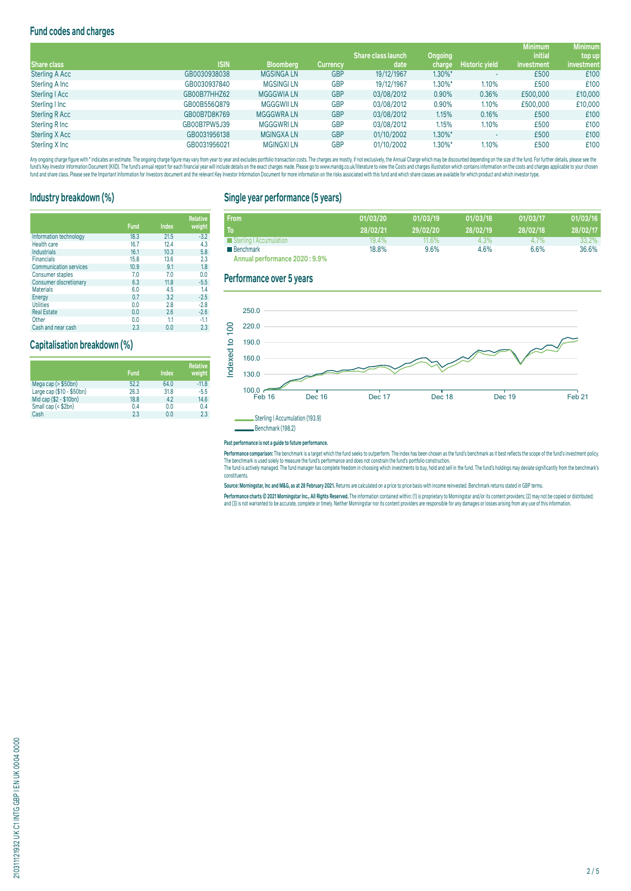# **Fund codes and charges**

|                       |              |                   |                 |                           |         |                       | <b>Minimum</b> | <b>Minimum</b> |
|-----------------------|--------------|-------------------|-----------------|---------------------------|---------|-----------------------|----------------|----------------|
|                       |              |                   |                 | <b>Share class launch</b> | Ongoing |                       | <i>initial</i> | top up         |
| Share class           | <b>ISIN</b>  | <b>Bloomberg</b>  | <b>Currency</b> | date                      | charge  | <b>Historic yield</b> | investment     | investment     |
| <b>Sterling A Acc</b> | GB0030938038 | <b>MGSINGALN</b>  | <b>GBP</b>      | 19/12/1967                | 1.30%*  |                       | £500           | £100           |
| Sterling A Inc        | GB0030937840 | <b>MGSINGI LN</b> | <b>GBP</b>      | 19/12/1967                | 1.30%*  | 1.10%                 | £500           | £100           |
| Sterling   Acc        | GB00B77HHZ62 | <b>MGGGWIA LN</b> | <b>GBP</b>      | 03/08/2012                | 0.90%   | 0.36%                 | £500,000       | £10,000        |
| Sterling I Inc        | GB00B556Q879 | <b>MGGGWII LN</b> | <b>GBP</b>      | 03/08/2012                | 0.90%   | 1.10%                 | £500,000       | £10,000        |
| <b>Sterling R Acc</b> | GB00B7D8K769 | <b>MGGGWRALN</b>  | <b>GBP</b>      | 03/08/2012                | 1.15%   | 0.16%                 | £500           | £100           |
| Sterling R Inc        | GB00B7PW5J39 | <b>MGGGWRILN</b>  | <b>GBP</b>      | 03/08/2012                | 1.15%   | 1.10%                 | £500           | £100           |
| Sterling X Acc        | GB0031956138 | <b>MGINGXALN</b>  | <b>GBP</b>      | 01/10/2002                | 1.30%*  |                       | £500           | £100           |
| Sterling X Inc        | GB0031956021 | <b>MGINGXILN</b>  | <b>GBP</b>      | 01/10/2002                | 1.30%*  | 1.10%                 | £500           | £100           |

Any organism and the man and the manual manual manual manual manual manual manual manual manual manual manual manual manual manual manual manual manual manual manual manual manual manual manual manual manual manual manual fund and share class. Please see the Important Information for Investors document and the relevant Key Investor Information Document for more information on the risks associated with this fund and which share classes are a

# **Industry breakdown (%)**

|                               | <b>Fund</b> | <b>Index</b> | <b>Relative</b><br>weight |
|-------------------------------|-------------|--------------|---------------------------|
| Information technology        | 18.3        | 21.5         | $-3.2$                    |
| <b>Health care</b>            | 16.7        | 12.4         | 4.3                       |
| Industrials                   | 16.1        | 10.3         | 5.8                       |
| <b>Financials</b>             | 15.8        | 13.6         | 2.3                       |
| <b>Communication services</b> | 10.9        | 9.1          | 1.8                       |
| Consumer staples              | 7.0         | 7.0          | 0.0                       |
| Consumer discretionary        | 6.3         | 11.8         | $-5.5$                    |
| <b>Materials</b>              | 6.0         | 4.5          | 1.4                       |
| Energy                        | 0.7         | 3.2          | $-2.5$                    |
| <b>Utilities</b>              | 0.0         | 2.8          | $-2.8$                    |
| <b>Real Estate</b>            | 0.0         | 2.6          | $-2.6$                    |
| Other                         | 0.0         | 1.1          | $-1.1$                    |
| Cash and near cash            | 2.3         | 0.0          | 2.3                       |

# **Capitalisation breakdown (%)**

|                           | <b>Fund</b> | <b>Index</b> | <b>Relative</b><br>weight |
|---------------------------|-------------|--------------|---------------------------|
| Mega cap (> \$50bn)       | 52.2        | 64.0         | $-11.8$                   |
| Large cap (\$10 - \$50bn) | 26.3        | 31.8         | $-5.5$                    |
| Mid cap (\$2 - \$10bn)    | 18.8        | 4.2          | 14.6                      |
| Small cap (< \$2bn)       | 0.4         | 0.0          | 0.4                       |
| Cash                      | 2.3         | 0.0          | 2.3                       |

# **Single year performance (5 years)**

| <b>From</b>                    | 01/03/20 | 01/03/19 | 01/03/18 | 01/03/17 | 01/03/16 |
|--------------------------------|----------|----------|----------|----------|----------|
| To                             | 28/02/21 | 29/02/20 | 28/02/19 | 28/02/18 | 28/02/17 |
| Sterling   Accumulation        | $19.4\%$ | $11.6\%$ | 4.3%     | 4.7%     | 33.2%    |
| <b>Benchmark</b>               | 18.8%    | 9.6%     | 4.6%     | 6.6%     | 36.6%    |
| Annual performance 2020 : 9.9% |          |          |          |          |          |

# **Performance over 5 years**



#### **Past performance is not a guide to future performance.**

**Performance comparison:** The benchmark is a target which the fund seeks to outperform. The index has been chosen as the fund's benchmark as it best reflects the scope of the fund's investment policy. The benchmark is used solely to measure the fund's performance and does not constrain the fund's portfolio construction.

The fund is actively managed. The fund manager has complete freedom in choosing which investments to buy, hold and sell in the fund. The fund's holdings may deviate significantly from the benchmark's constituents.

**Source: Morningstar, Inc and M&G, as at 28 February 2021.** Returns are calculated on a price to price basis with income reinvested. Benchmark returns stated in GBP terms.

Performance charts © 2021 Morningstar Inc., All Rights Reserved. The information contained within: (1) is proprietary to Morningstar and/or its content providers; (2) may not be copied or distributed; and (3) is not warranted to be accurate, complete or timely. Neither Morningstar nor its content providers are responsible for any damages or losses arising from any use of this information.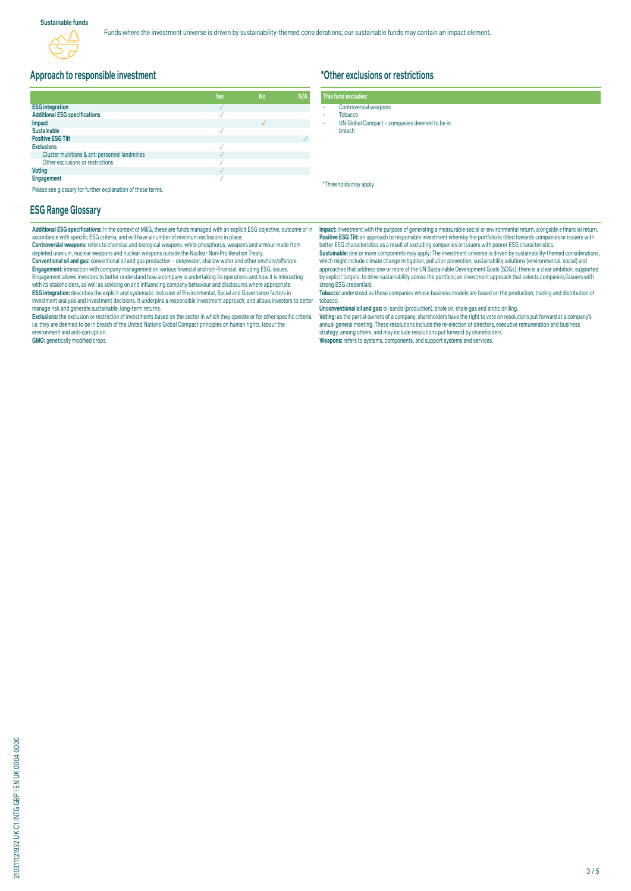# **Approach to responsible investment**

|                                              | Yes | <b>No</b> | N/A |
|----------------------------------------------|-----|-----------|-----|
| <b>ESG</b> integration                       |     |           |     |
| <b>Additional ESG specifications</b>         |     |           |     |
| Impact                                       |     |           |     |
| <b>Sustainable</b>                           |     |           |     |
| <b>Positive ESG Tilt</b>                     |     |           |     |
| <b>Exclusions</b>                            |     |           |     |
| Cluster munitions & anti personnel landmines |     |           |     |
| Other exclusions or restrictions             |     |           |     |
| <b>Voting</b>                                |     |           |     |
| Engagement                                   |     |           |     |

Please see glossary for further explanation of these terms.

### **ESG Range Glossary**

**Additional ESG specifications:** In the context of M&G, these are funds managed with an explicit ESG objective, outcome or in accordance with specific ESG criteria, and will have a number of minimum exclusions in place.

**Controversial weapons:** refers to chemical and biological weapons, white phosphorus, weapons and armour made from depleted uranium, nuclear weapons and nuclear weapons outside the Nuclear Non-Proliferation Treaty. **Conventional oil and gas:** conventional oil and gas production – deepwater, shallow water and other onshore/offshore. **Engagement:** Interaction with company management on various financial and non-financial, including ESG, issues.<br>Engagement allows investors to better understand how a company is undertaking its operations and how it is in with its stakeholders, as well as advising on and influencing company behaviour and disclosures where appropriate. **ESG integration:** describes the explicit and systematic inclusion of Environmental, Social and Governance factors in<br>investment analysis and investment decisions. It underpins a responsible investment approach, and allows manage risk and generate sustainable, long-term returns.

Exclusions: the exclusion or restriction of investments based on the sector in which they operate or for other specific criteria,<br>i.e. they are deemed to be in breach of the United Nations Global Compact principles on huma environment and anti-corruption.

**GMO:** genetically modified crops.

# **\*Other exclusions or restrictions**

|  | This fund excludes: |  |  |
|--|---------------------|--|--|
|  |                     |  |  |

- Controversial weapons **Tobacco**
- UN Global Compact companies deemed to be in
- breach

\*Thresholds may apply

**Impact:** investment with the purpose of generating a measurable social or environmental return, alongside a financial return. **Positive ESG Tilt:** an approach to responsible investment whereby the portfolio is tilted towards companies or issuers with better ESG characteristics as a result of excluding companies or issuers with poorer ESG characteristics.<br>**Sustainable:** one or more components may apply: The investment universe is driven by sustainability-themed consider

which might include climate change mitigation, pollution prevention, sustainability solutions (environmental, social) and approaches that address one or more of the UN Sustainable Development Goals (SDGs); there is a clear ambition, supported by explicit targets, to drive sustainability across the portfolio; an investment approach that selects companies/issuers with strong ESG credentials.

**Tobacco:** understood as those companies whose business models are based on the production, trading and distribution of tobacco.

**Unconventional oil and gas:** oil sands (production), shale oil, shale gas and arctic drilling.

**voting:** as the partial owners of a company, snareholders have the right to vote on resolutions put forward at a company's<br>annual general meeting. These resolutions include the re-election of directors, executive remunera strategy, among others, and may include resolutions put forward by shareholders. **Weapons:** refers to systems, components, and support systems and services.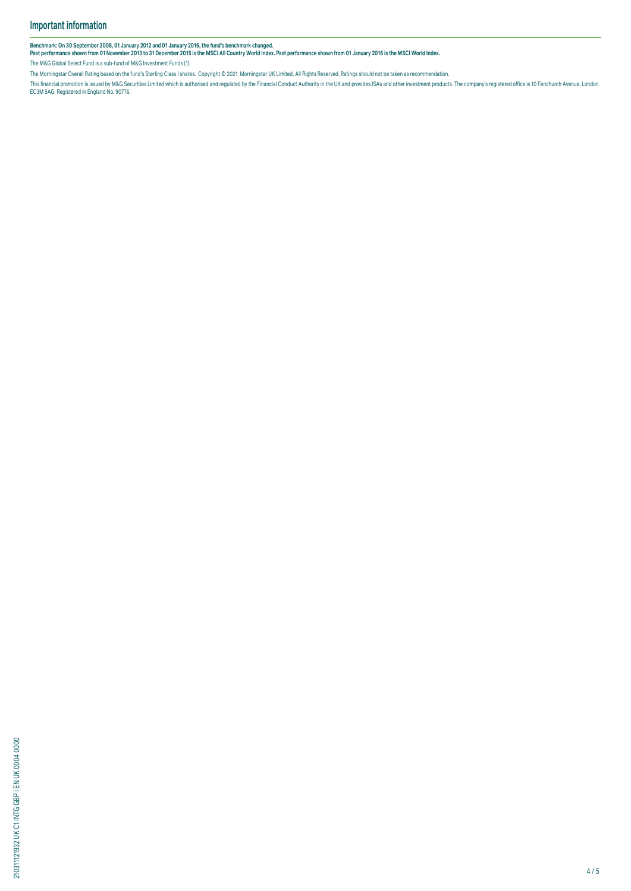Benchmark: On 30 September 2008, 01 January 2012 and 01 January 2016, the tund's benchmark changed.<br>Past performance shown from 01 November 2013 to 31 December 2015 is the MSCI All Country World Index. Past performance sho

The M&G Global Select Fund is a sub-fund of M&G Investment Funds (1).

The Morningstar Overall Rating based on the fund's Sterling Class I shares. Copyright © 2021 Morningstar UK Limited. All Rights Reserved. Ratings should not be taken as recommendation.

This financial promotion is issued by M&G Securities Limited which is authorised and regulated by the Financial Conduct Authority in the UK and provides ISAs and other investment products. The company's registered office i

210311121932 UK C1 INTG GBP I EN UK 0004 0000 210311121932 UK C1 INTG GBP I EN UK 0004 0000